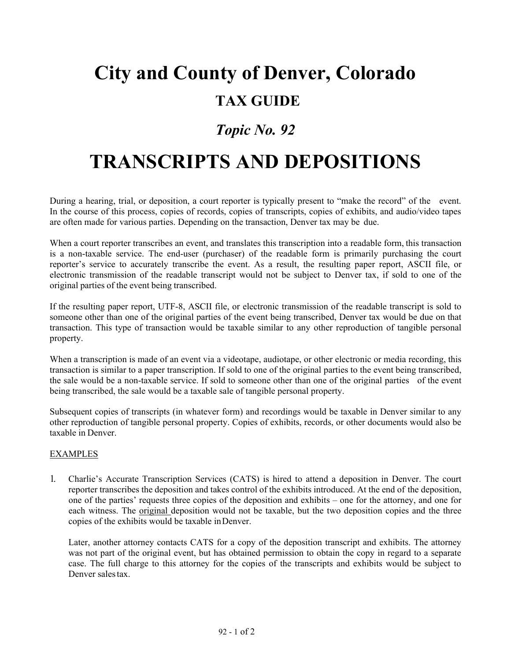## **City and County of Denver, Colorado TAX GUIDE**

## *Topic No. 92*

## **TRANSCRIPTS AND DEPOSITIONS**

During a hearing, trial, or deposition, a court reporter is typically present to "make the record" of the event. In the course of this process, copies of records, copies of transcripts, copies of exhibits, and audio/video tapes are often made for various parties. Depending on the transaction, Denver tax may be due.

When a court reporter transcribes an event, and translates this transcription into a readable form, this transaction is a non-taxable service. The end-user (purchaser) of the readable form is primarily purchasing the court reporter's service to accurately transcribe the event. As a result, the resulting paper report, ASCII file, or electronic transmission of the readable transcript would not be subject to Denver tax, if sold to one of the original parties of the event being transcribed.

If the resulting paper report, UTF-8, ASCII file, or electronic transmission of the readable transcript is sold to someone other than one of the original parties of the event being transcribed, Denver tax would be due on that transaction. This type of transaction would be taxable similar to any other reproduction of tangible personal property.

When a transcription is made of an event via a videotape, audiotape, or other electronic or media recording, this transaction is similar to a paper transcription. If sold to one of the original parties to the event being transcribed, the sale would be a non-taxable service. If sold to someone other than one of the original parties of the event being transcribed, the sale would be a taxable sale of tangible personal property.

Subsequent copies of transcripts (in whatever form) and recordings would be taxable in Denver similar to any other reproduction of tangible personal property. Copies of exhibits, records, or other documents would also be taxable in Denver.

## **EXAMPLES**

1. Charlie's Accurate Transcription Services (CATS) is hired to attend a deposition in Denver. The court reporter transcribes the deposition and takes control of the exhibits introduced. At the end of the deposition, one of the parties' requests three copies of the deposition and exhibits – one for the attorney, and one for each witness. The <u>original</u> deposition would not be taxable, but the two deposition copies and the three copies of the exhibits would be taxable inDenver.

Later, another attorney contacts CATS for a copy of the deposition transcript and exhibits. The attorney was not part of the original event, but has obtained permission to obtain the copy in regard to a separate case. The full charge to this attorney for the copies of the transcripts and exhibits would be subject to Denver sales tax.